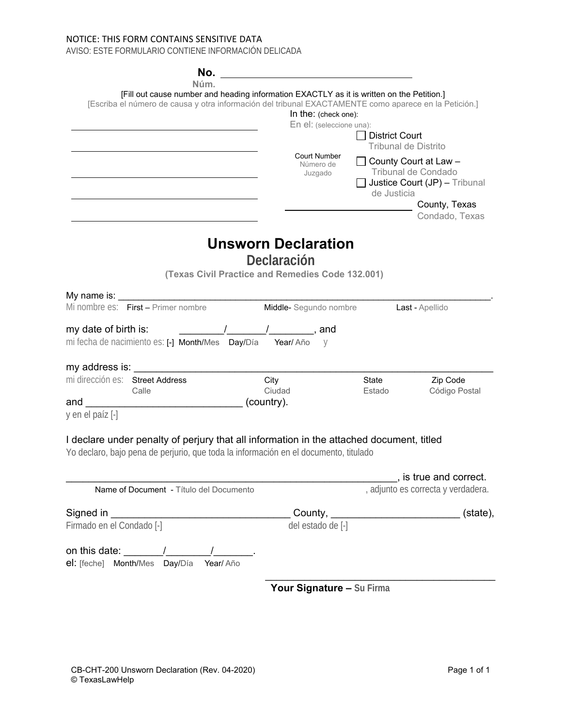## NOTICE: THIS FORM CONTAINS SENSITIVE DATA

AVISO: ESTE FORMULARIO CONTIENE INFORMACIÓN DELICADA

| No.                                                                                                                                                                              |                                             |                                                                                        |                                                    |
|----------------------------------------------------------------------------------------------------------------------------------------------------------------------------------|---------------------------------------------|----------------------------------------------------------------------------------------|----------------------------------------------------|
| Núm.<br>[Fill out cause number and heading information EXACTLY as it is written on the Petition.]                                                                                |                                             |                                                                                        |                                                    |
| [Escriba el número de causa y otra información del tribunal EXACTAMENTE como aparece en la Petición.]                                                                            |                                             |                                                                                        |                                                    |
|                                                                                                                                                                                  | In the: (check one):                        |                                                                                        |                                                    |
|                                                                                                                                                                                  | En el: (seleccione una):                    | <b>District Court</b>                                                                  |                                                    |
|                                                                                                                                                                                  |                                             | <b>Tribunal de Distrito</b>                                                            |                                                    |
|                                                                                                                                                                                  | <b>Court Number</b><br>Número de<br>Juzgado | $\Box$ County Court at Law $-$<br>Tribunal de Condado<br>Justice Court (JP) - Tribunal |                                                    |
|                                                                                                                                                                                  |                                             | de Justicia                                                                            | County, Texas<br>Condado, Texas                    |
| <b>Unsworn Declaration</b>                                                                                                                                                       | Declaración                                 |                                                                                        |                                                    |
| (Texas Civil Practice and Remedies Code 132.001)                                                                                                                                 |                                             |                                                                                        |                                                    |
| My name is: $\frac{1}{2}$<br>Mi nombre es: First - Primer nombre                                                                                                                 | Middle-Segundo nombre                       |                                                                                        | Last - Apellido                                    |
|                                                                                                                                                                                  |                                             |                                                                                        |                                                    |
|                                                                                                                                                                                  |                                             |                                                                                        |                                                    |
| mi fecha de nacimiento es: [-] Month/Mes Day/Día Year/Año                                                                                                                        | V                                           |                                                                                        |                                                    |
|                                                                                                                                                                                  |                                             |                                                                                        |                                                    |
| my address is:<br>mi dirección es: Street Address<br>City                                                                                                                        |                                             | State                                                                                  | Zip Code                                           |
| Calle<br>Ciudad                                                                                                                                                                  |                                             | Estado                                                                                 | Código Postal                                      |
| (country).<br>and __________________________                                                                                                                                     |                                             |                                                                                        |                                                    |
| y en el paíz [-]                                                                                                                                                                 |                                             |                                                                                        |                                                    |
|                                                                                                                                                                                  |                                             |                                                                                        |                                                    |
| I declare under penalty of perjury that all information in the attached document, titled<br>Yo declaro, bajo pena de perjurio, que toda la información en el documento, titulado |                                             |                                                                                        |                                                    |
|                                                                                                                                                                                  |                                             |                                                                                        |                                                    |
|                                                                                                                                                                                  |                                             |                                                                                        | ______, is true and correct.                       |
| Name of Document - Título del Documento                                                                                                                                          |                                             |                                                                                        | , adjunto es correcta y verdadera.                 |
|                                                                                                                                                                                  |                                             |                                                                                        | __ County, _______________________________(state), |
| Firmado en el Condado [-]                                                                                                                                                        | del estado de [-]                           |                                                                                        |                                                    |
| on this date: $\sqrt{2\pi}$ / $\sqrt{2\pi}$ .                                                                                                                                    |                                             |                                                                                        |                                                    |
| el: [feche] Month/Mes Day/Día Year/Año                                                                                                                                           |                                             |                                                                                        |                                                    |
|                                                                                                                                                                                  |                                             |                                                                                        |                                                    |
|                                                                                                                                                                                  | Your Signature - Su Firma                   |                                                                                        |                                                    |